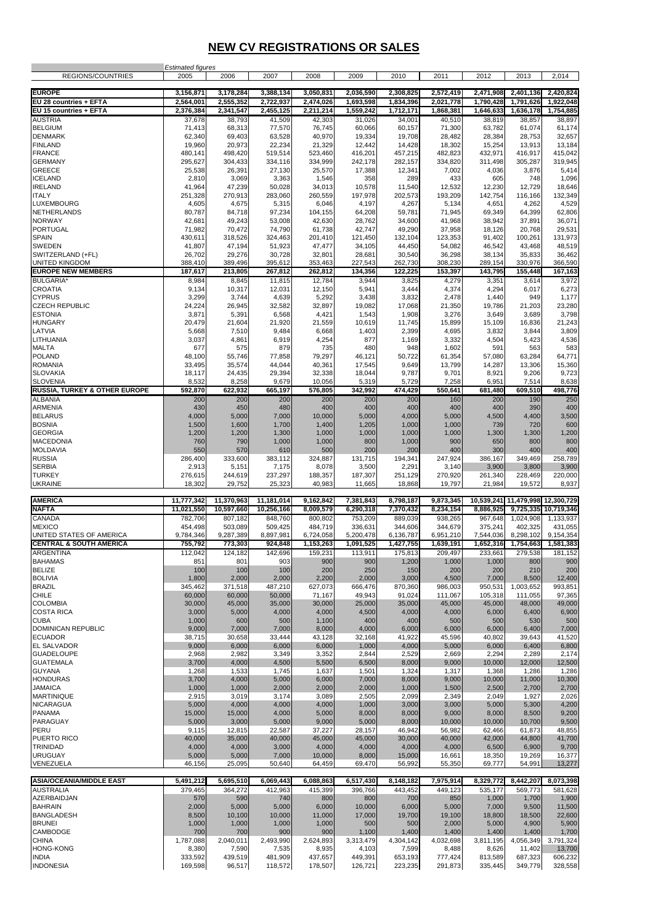## **NEW CV REGISTRATIONS OR SALES**

| <b>REGIONS/COUNTRIES</b>                             | <b>Estimated figures</b><br>2005 | 2006               | 2007               | 2008               | 2009                        | 2010                        | 2011               | 2012                        | 2013                             | 2,014                        |
|------------------------------------------------------|----------------------------------|--------------------|--------------------|--------------------|-----------------------------|-----------------------------|--------------------|-----------------------------|----------------------------------|------------------------------|
| <b>EUROPE</b>                                        | 3,156,871                        | 3,178,284          | 3,388,134          | 3,050,831          | 2,036,590                   | 2,308,825                   | 2,572,419          | 2,471,908                   | 2,401,136                        | 2,420,824                    |
| EU 28 countries + EFTA                               | 2,564,001                        | 2,555,352          | 2,722,937          | 2,474,026          | 1,693,598                   | 1,834,396                   | 2,021,778          | 1,790,428                   | 1,791,626                        | 1,922,048                    |
| EU 15 countries + EFTA                               | 2,376,384                        | 2,341,547          | 2,455,125          | 2,211,214          | 1,559,242                   | 1,712,171                   | 1,868,381          | 1,646,633                   | 1,636,178                        | 1,754,885                    |
| <b>AUSTRIA</b><br><b>BELGIUM</b>                     | 37,678<br>71,413                 | 38,793<br>68,313   | 41,509<br>77,570   | 42,303<br>76,745   | 31,026<br>60,066            | 34,001<br>60,157            | 40,510<br>71,300   | 38,819<br>63,782            | 38,857<br>61,074                 | 38,897<br>61,174             |
| <b>DENMARK</b>                                       | 62,340                           | 69,403             | 63,528             | 40,970             | 19,334                      | 19,708                      | 28.482             | 28,384                      | 28,753                           | 32,657                       |
| <b>FINLAND</b>                                       | 19,960                           | 20,973             | 22,234             | 21,329             | 12,442                      | 14,428                      | 18,302             | 15,254                      | 13,913                           | 13,184                       |
| <b>FRANCE</b><br><b>GERMANY</b>                      | 480,141<br>295,627               | 498,420<br>304,433 | 519,514<br>334,116 | 523,460<br>334,999 | 416,201<br>242,178          | 457,215<br>282,157          | 482,823<br>334,820 | 432,971<br>311,498          | 416,917<br>305,287               | 415,042<br>319,945           |
| <b>GREECE</b>                                        | 25,538                           | 26,391             | 27,130             | 25,570             | 17,388                      | 12,341                      | 7,002              | 4,036                       | 3,876                            | 5,414                        |
| <b>ICELAND</b>                                       | 2,810                            | 3,069              | 3,363              | 1,546              | 358                         | 289                         | 433                | 605                         | 748                              | 1,096                        |
| <b>IRELAND</b><br><b>ITALY</b>                       | 41,964<br>251,328                | 47,239<br>270,913  | 50,028<br>283,060  | 34,013<br>260,559  | 10,578<br>197,978           | 11,540<br>202,573           | 12,532<br>193,209  | 12,230<br>142,754           | 12,729<br>116,166                | 18,646<br>132,349            |
| LUXEMBOURG                                           | 4,605                            | 4,675              | 5,315              | 6,046              | 4,197                       | 4,267                       | 5,134              | 4,651                       | 4,262                            | 4,529                        |
| <b>NETHERLANDS</b>                                   | 80,787                           | 84,718             | 97,234             | 104,155            | 64,208                      | 59,781                      | 71,945             | 69,349                      | 64,399                           | 62,806                       |
| <b>NORWAY</b>                                        | 42,681                           | 49,243             | 53,008             | 42,630             | 28,762                      | 34,600                      | 41,968             | 38,942                      | 37,891                           | 36,071                       |
| <b>PORTUGAL</b><br><b>SPAIN</b>                      | 71,982<br>430,611                | 70,472<br>318,526  | 74,790<br>324,463  | 61,738<br>201,410  | 42,747<br>121,450           | 49,290<br>132,104           | 37,958<br>123,353  | 18,126<br>91,402            | 20,768<br>100,261                | 29,531<br>131,973            |
| SWEDEN                                               | 41,807                           | 47,194             | 51,923             | 47,477             | 34,105                      | 44,450                      | 54,082             | 46,542                      | 43,468                           | 48,519                       |
| SWITZERLAND (+FL)<br>UNITED KINGDOM                  | 26,702                           | 29,276             | 30,728             | 32,801             | 28,681<br>227,543           | 30,540<br>262,730           | 36,298<br>308,230  | 38,134<br>289,154           | 35,833<br>330,976                | 36,462                       |
| <b>EUROPE NEW MEMBERS</b>                            | 388,410<br>187,617               | 389,496<br>213,805 | 395,612<br>267,812 | 353,463<br>262,812 | 134,356                     | 122,225                     | 153,397            | 143,795                     | 155,448                          | 366,590<br>167,163           |
| <b>BULGARIA</b>                                      | 8,984                            | 8,845              | 11,815             | 12,784             | 3,944                       | 3,825                       | 4,279              | 3,351                       | 3,614                            | 3,972                        |
| <b>CROATIA</b>                                       | 9,134                            | 10,317             | 12,031             | 12,150             | 5,941                       | 3,444                       | 4,374              | 4,294                       | 6,017                            | 6,273                        |
| <b>CYPRUS</b><br><b>CZECH REPUBLIC</b>               | 3,299<br>24,224                  | 3,744<br>26,945    | 4,639<br>32,582    | 5,292<br>32,897    | 3,438<br>19,082             | 3,832<br>17,068             | 2,478<br>21,350    | 1,440<br>19,786             | 949<br>21,203                    | 1,177<br>23,280              |
| <b>ESTONIA</b>                                       | 3,871                            | 5,391              | 6,568              | 4,421              | 1,543                       | 1,908                       | 3,276              | 3,649                       | 3,689                            | 3,798                        |
| <b>HUNGARY</b>                                       | 20,479                           | 21,604             | 21,920             | 21,559             | 10,619                      | 11,745                      | 15,899             | 15,109                      | 16,836                           | 21,243                       |
| LATVIA<br>LITHUANIA                                  | 5,668<br>3,037                   | 7,510<br>4,861     | 9,484              | 6,668<br>4,254     | 1,403<br>877                | 2,399<br>1,169              | 4,695<br>3,332     | 3,832<br>4,504              | 3,844<br>5,423                   | 3,809<br>4,536               |
| <b>MALTA</b>                                         | 677                              | 575                | 6,919<br>879       | 735                | 480                         | 948                         | 1,602              | 591                         | 563                              | 583                          |
| <b>POLAND</b>                                        | 48,100                           | 55,746             | 77,858             | 79,297             | 46,121                      | 50,722                      | 61,354             | 57,080                      | 63,284                           | 64,771                       |
| <b>ROMANIA</b>                                       | 33,495                           | 35,574             | 44,044             | 40,361             | 17,545                      | 9,649                       | 13,799             | 14,287                      | 13,306                           | 15,360                       |
| <b>SLOVAKIA</b><br><b>SLOVENIA</b>                   | 18,117<br>8,532                  | 24,435<br>8,258    | 29,394<br>9,679    | 32,338<br>10,056   | 18,044<br>5,319             | 9,787<br>5,729              | 9,701<br>7,258     | 8,921<br>6,951              | 9,206<br>7,514                   | 9,723<br>8,638               |
| RUSSIA, TURKEY & OTHER EUROPE                        | 592,870                          | 622,932            | 665,197            | 576,805            | 342,992                     | 474,429                     | 550,641            | 681,480                     | 609,510                          | 498,776                      |
| <b>ALBANIA</b>                                       | 200                              | 200                | 200                | 200                | 200                         | 200                         | 160                | 200                         | 190                              | 250                          |
| ARMENIA<br><b>BELARUS</b>                            | 430<br>4,000                     | 450<br>5,000       | 480<br>7,000       | 400<br>10,000      | 400<br>5,000                | 400<br>4,000                | 400<br>5,000       | 400<br>4,500                | 390<br>4,400                     | 400<br>3,500                 |
| <b>BOSNIA</b>                                        | 1,500                            | 1,600              | 1,700              | 1,400              | 1,205                       | 1,000                       | 1,000              | 739                         | 720                              | 600                          |
| <b>GEORGIA</b>                                       | 1,200                            | 1,200              | 1,300              | 1,000              | 1,000                       | 1,000                       | 1,000              | 1,300                       | 1,300                            | 1,200                        |
| <b>MACEDONIA</b><br><b>MOLDAVIA</b>                  | 760                              | 790                | 1,000              | 1,000              | 800                         | 1,000                       | 900<br>400         | 650                         | 800<br>400                       | 800                          |
| <b>RUSSIA</b>                                        | 550<br>286,400                   | 570<br>333,600     | 610<br>383,112     | 500<br>324,887     | 200<br>131,715              | 200<br>194,341              | 247,924            | 300<br>386,167              | 349,469                          | 400<br>258,789               |
| <b>SERBIA</b>                                        | 2,913                            | 5,151              | 7,175              | 8,078              | 3,500                       | 2,291                       | 3,140              | 3,900                       | 3,800                            | 3,900                        |
| <b>TURKEY</b>                                        | 276,615<br>18,302                | 244,619<br>29,752  | 237,297<br>25,323  | 188,357<br>40,983  | 187,307<br>11,665           | 251,129<br>18,868           | 270,920<br>19,797  | 261,340<br>21,984           | 228,469<br>19,572                | 220,000<br>8,937             |
| <b>UKRAINE</b>                                       |                                  |                    |                    |                    |                             |                             |                    |                             |                                  |                              |
| <b>AMERICA</b>                                       | 11,777,342                       | 11,370,963         | 11,181,014         | 9,162,842          | 7,381,843                   | 8,798,187                   | 9,873,345          |                             | 10,539,241 11,479,998 12,300,729 |                              |
| <b>NAFTA</b>                                         | 11,021,550                       | 10,597,660         | 10,256,166         | 8,009,579          | 6,290,318                   | 7,370,432                   | 8,234,154          | 8,886,925                   | 9,725,335                        | 10,719,346                   |
| <b>CANADA</b><br><b>MEXICO</b>                       | 782,706<br>454,498               | 807,182<br>503,089 | 848,760<br>509,425 | 800,802<br>484,719 | 753,209<br>336,631          | 889,039<br>344,606          | 938,265<br>344,679 | 967,648<br>375,241          | 1,024,908<br>402,325             | 1,133,937<br>431,055         |
| UNITED STATES OF AMERICA                             | 9,784,346                        | 9,287,389          | 8,897,981          | 6,724,058          | 5,200,478                   | 6,136,787                   | 6,951,210          | 7,544,036                   | 8,298,102                        | 9,154,354                    |
| <b>CENTRAL &amp; SOUTH AMERICA</b>                   | 755,792                          | 773,303            | 924,848            | 1,153,263          | 1,091,525                   | 1,427,755                   | 1,639,191          | 1,652,316                   | 1,754,663                        | 1,581,383                    |
| <b>ARGENTINA</b><br><b>BAHAMAS</b>                   | 112,042<br>851                   | 124,182<br>801     | 142,696<br>903     | 159,231<br>900     | 113,911<br>900              | 175,813<br>1,200            | 209,497<br>1,000   | 233,661<br>1,000            | 279,538<br>800                   | 181,152<br>900               |
| <b>BELIZE</b>                                        | 100                              | 100                | 100                | 200                | 250                         | 150                         | 200                | 200                         | 210                              | 200                          |
| <b>BOLIVIA</b>                                       | 1,800                            | 2,000              | 2,000              | 2,200              | 2,000                       | 3,000                       | 4,500              | 7,000                       | 8,500                            | 12,400                       |
| <b>BRAZIL</b><br><b>CHILE</b>                        | 345,462<br>60,000                | 371,518<br>60,000  | 487,210<br>50,000  | 627,073<br>71,167  | 666,476<br>49,943           | 870,360<br>91,024           | 986,003<br>111,067 | 950,531<br>105,318          | 1,003,652<br>111,055             | 993,851<br>97,365            |
| <b>COLOMBIA</b>                                      | 30,000                           | 45,000             | 35,000             | 30,000             | 25,000                      | 35,000                      | 45,000             | 45,000                      | 48,000                           | 49,000                       |
| <b>COSTA RICA</b>                                    | 3,000                            | 5,000              | 4,000              | 4,000              | 4,500                       | 4,000                       | 4,000              | 6,000                       | 6,400                            | 6,900                        |
| <b>CUBA</b><br><b>DOMINICAN REPUBLIC</b>             | 1,000<br>9,000                   | 600<br>7,000       | 500<br>7,000       | 1,100<br>8,000     | 400<br>4,000                | 400<br>6,000                | 500<br>6,000       | 500<br>6,000                | 530<br>6,400                     | 500<br>7,000                 |
| <b>ECUADOR</b>                                       | 38,715                           | 30,658             | 33,444             | 43,128             | 32,168                      | 41,922                      | 45,596             | 40,802                      | 39,643                           | 41,520                       |
| <b>EL SALVADOR</b>                                   | 9,000                            | 6,000              | 6,000              | 6,000              | 1,000                       | 4,000                       | 5,000              | 6,000                       | 6,400                            | 6,800                        |
| <b>GUADELOUPE</b><br><b>GUATEMALA</b>                | 2,968<br>3,700                   | 2,982<br>4,000     | 3,349<br>4,500     | 3,352<br>5,500     | 2,844<br>6,500              | 2,529<br>8,000              | 2,669<br>9,000     | 2,294<br>10,000             | 2,289<br>12,000                  | 2,174<br>12,500              |
| <b>GUYANA</b>                                        | 1,268                            | 1,533              | 1,745              | 1,637              | 1,501                       | 1,324                       | 1,317              | 1,368                       | 1,286                            | 1,286                        |
| <b>HONDURAS</b>                                      | 3,700                            | 4,000              | 5,000              | 6,000              | 7,000                       | 8,000                       | 9,000              | 10,000                      | 11,000                           | 10,300                       |
| <b>JAMAICA</b>                                       | 1,000                            | 1,000              | 2,000              | 2,000              | 2,000                       | 1,000                       | 1,500              | 2,500                       | 2,700                            | 2,700                        |
| <b>MARTINIQUE</b><br><b>NICARAGUA</b>                | 2,915<br>5,000                   | 3,019<br>4,000     | 3,174<br>4,000     | 3,089<br>4,000     | 2,505<br>1,000              | 2,099<br>3,000              | 2,349<br>3,000     | 2,049<br>5,000              | 1,927<br>5,300                   | 2,026<br>4,200               |
| <b>PANAMA</b>                                        | 15,000                           | 15,000             | 4,000              | 5,000              | 8,000                       | 8,000                       | 9,000              | 8,000                       | 8,500                            | 9,200                        |
| PARAGUAY                                             | 5,000                            | 3,000              | 5,000              | 9,000              | 5,000                       | 8,000                       | 10,000             | 10,000                      | 10,700                           | 9,500                        |
| PERU<br>PUERTO RICO                                  | 9,115<br>40,000                  | 12,815<br>35,000   | 22,587<br>40,000   | 37,227<br>45,000   | 28,157<br>45,000            | 46,942<br>30,000            | 56,982<br>40,000   | 62,466<br>42,000            | 61,873<br>44,800                 | 48,855<br>41,700             |
| TRINIDAD                                             | 4,000                            | 4,000              | 3,000              | 4,000              | 4,000                       | 4,000                       | 4,000              | 6,500                       | 6,900                            | 9,700                        |
| <b>URUGUAY</b>                                       | 5,000                            | 5,000              | 7,000              | 10,000             | 8,000                       | 15,000                      | 16,661             | 18,350                      | 19,269                           | 16,377                       |
| VENEZUELA                                            | 46,156                           | 25,095             | 50,640             | 64,459             | 69,470                      | 56,992                      | 55,350             | 69,777                      | 54,991                           | 13,277                       |
| <b>ASIA/OCEANIA/MIDDLE EAST</b>                      | 5,491,212                        | 5,695,510          | 6,069,443          | 6,088,863          | 6,517,430                   | 8,148,182                   | 7,975,914          | 8,329,772                   | 8,442,207                        | 8,073,398                    |
| <b>AUSTRALIA</b>                                     | 379,465                          | 364,272            | 412,963            | 415,399            | 396,766                     | 443,452                     | 449,123            | 535,177                     | 569,773                          | 581,628                      |
| AZERBAIDJAN<br><b>BAHRAIN</b>                        | 570<br>2,000                     | 590<br>5,000       | 740<br>5,000       | 800<br>6,000       | 800<br>10,000               | 700<br>6,000                | 850<br>5,000       | 1,000<br>7,000              | 1,700<br>9,500                   | 1,900<br>11,500              |
| <b>BANGLADESH</b>                                    | 8,500                            | 10,100             | 10,000             | 11,000             | 17,000                      | 19,700                      | 19,100             | 18,800                      | 18,500                           | 22,600                       |
| <b>BRUNEI</b>                                        | 1,000                            | 1,000              | 1,000              | 1,000              | 500                         | 500                         | 2,000              | 5,000                       | 4,900                            | 5,900                        |
| CAMBODGE                                             |                                  |                    |                    |                    |                             | 1,400                       | 1,400              | 1,400                       | 1,400                            | 1,700                        |
|                                                      | 700                              | 700                | 900                | 900                | 1,100                       |                             |                    |                             |                                  |                              |
| <b>CHINA</b>                                         | 1,787,088                        | 2,040,011          | 2,493,990          | 2,624,893          | 3,313,479                   | 4,304,142                   | 4,032,698          | 3,811,195                   | 4,056,349                        | 3,791,324                    |
| <b>HONG-KONG</b><br><b>INDIA</b><br><b>INDONESIA</b> | 8,380<br>333,592<br>169,598      | 7,590<br>439,519   | 7,535<br>481,909   | 8,935<br>437,657   | 4,103<br>449,391<br>126,721 | 7,599<br>653,193<br>223,235 | 8,488<br>777,424   | 8,626<br>813,589<br>335,445 | 11,402<br>687,323                | 13,700<br>606,232<br>328,558 |